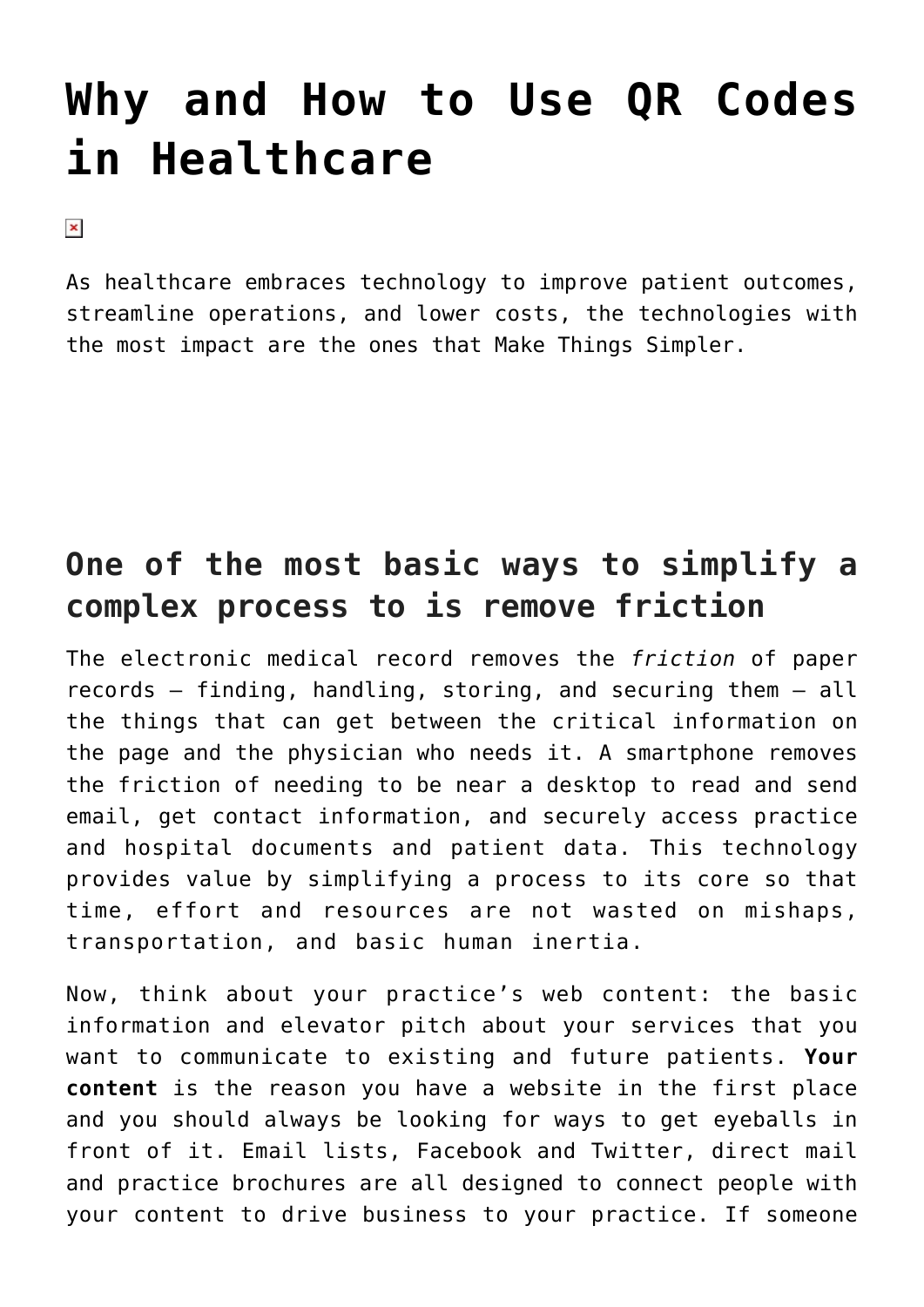## **[Why and How to Use QR Codes](https://managemypractice.com/why-and-how-to-use-qr-codes-in-health-care/) [in Healthcare](https://managemypractice.com/why-and-how-to-use-qr-codes-in-health-care/)**

 $\pmb{\times}$ 

As healthcare embraces technology to improve patient outcomes, streamline operations, and lower costs, the technologies with the most impact are the ones that Make Things Simpler.

## **One of the most basic ways to simplify a complex process to is remove friction**

The electronic medical record removes the *friction* of paper records – finding, handling, storing, and securing them – all the things that can get between the critical information on the page and the physician who needs it. A smartphone removes the friction of needing to be near a desktop to read and send email, get contact information, and securely access practice and hospital documents and patient data. This technology provides value by simplifying a process to its core so that time, effort and resources are not wasted on mishaps, transportation, and basic human inertia.

Now, think about your practice's web content: the basic information and elevator pitch about your services that you want to communicate to existing and future patients. **Your content** is the reason you have a website in the first place and you should always be looking for ways to get eyeballs in front of it. Email lists, Facebook and Twitter, direct mail and practice brochures are all designed to connect people with your content to drive business to your practice. If someone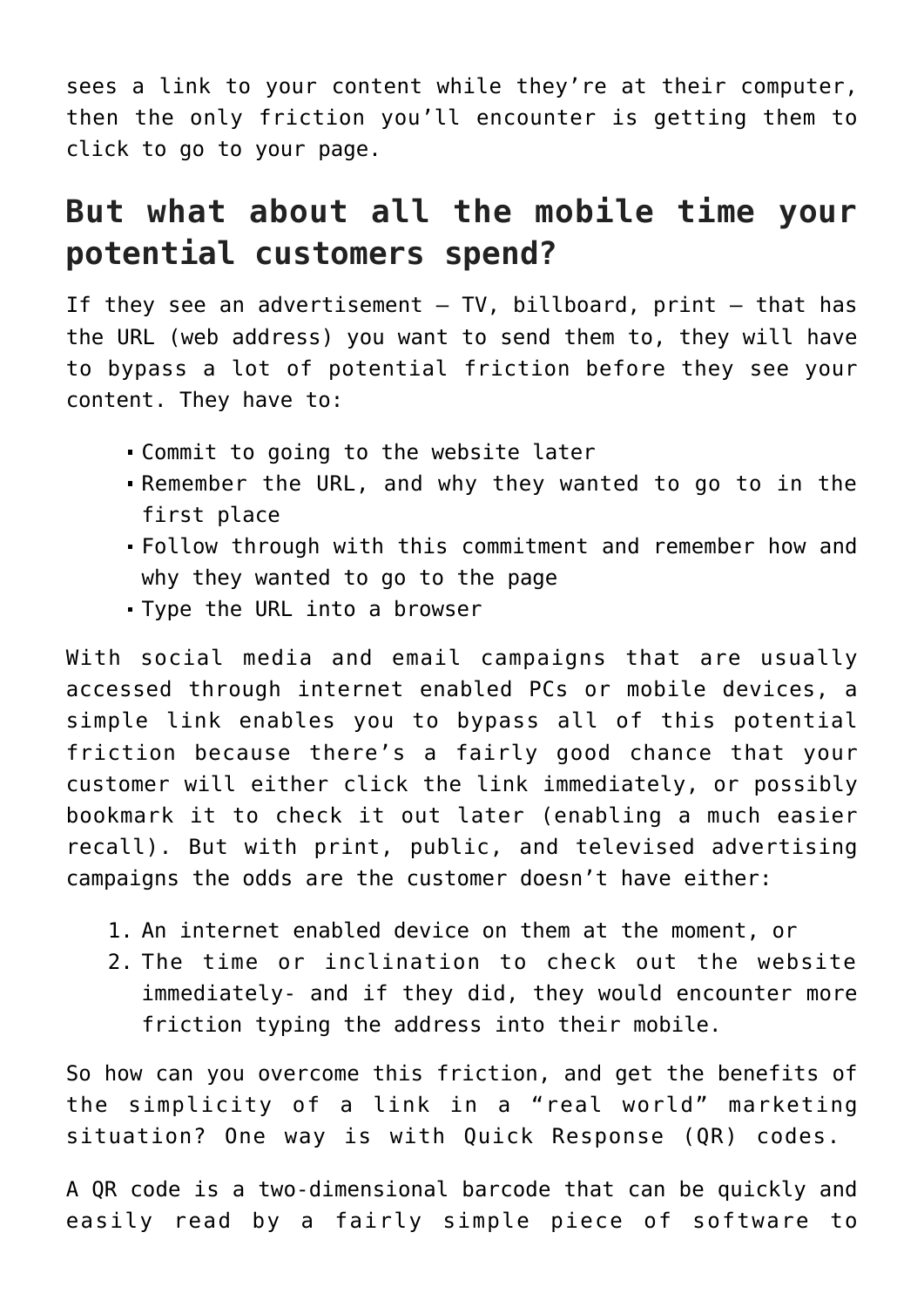sees a link to your content while they're at their computer, then the only friction you'll encounter is getting them to click to go to your page.

## **But what about all the mobile time your potential customers spend?**

If they see an advertisement  $-$  TV, billboard, print  $-$  that has the URL (web address) you want to send them to, they will have to bypass a lot of potential friction before they see your content. They have to:

- Commit to going to the website later
- Remember the URL, and why they wanted to go to in the first place
- Follow through with this commitment and remember how and why they wanted to go to the page
- Type the URL into a browser

With social media and email campaigns that are usually accessed through internet enabled PCs or mobile devices, a simple link enables you to bypass all of this potential friction because there's a fairly good chance that your customer will either click the link immediately, or possibly bookmark it to check it out later (enabling a much easier recall). But with print, public, and televised advertising campaigns the odds are the customer doesn't have either:

- 1. An internet enabled device on them at the moment, or
- 2. The time or inclination to check out the website immediately- and if they did, they would encounter more friction typing the address into their mobile.

So how can you overcome this friction, and get the benefits of the simplicity of a link in a "real world" marketing situation? One way is with Quick Response (QR) codes.

A QR code is a two-dimensional barcode that can be quickly and easily read by a fairly simple piece of software to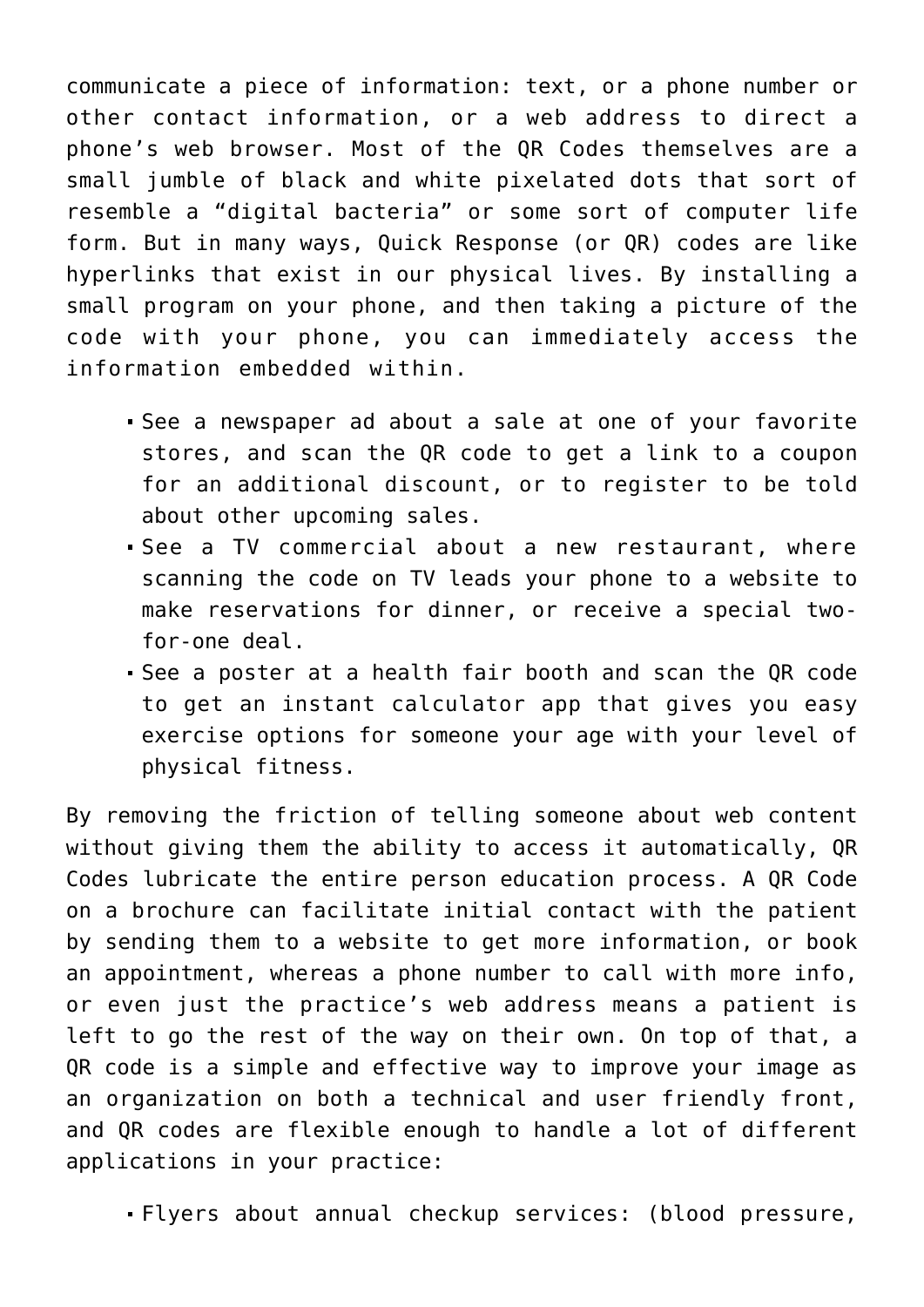communicate a piece of information: text, or a phone number or other contact information, or a web address to direct a phone's web browser. Most of the QR Codes themselves are a small jumble of black and white pixelated dots that sort of resemble a "digital bacteria" or some sort of computer life form. But in many ways, Quick Response (or QR) codes are like hyperlinks that exist in our physical lives. By installing a small program on your phone, and then taking a picture of the code with your phone, you can immediately access the information embedded within.

- See a newspaper ad about a sale at one of your favorite stores, and scan the QR code to get a link to a coupon for an additional discount, or to register to be told about other upcoming sales.
- See a TV commercial about a new restaurant, where scanning the code on TV leads your phone to a website to make reservations for dinner, or receive a special twofor-one deal.
- See a poster at a health fair booth and scan the QR code to get an instant calculator app that gives you easy exercise options for someone your age with your level of physical fitness.

By removing the friction of telling someone about web content without giving them the ability to access it automatically, QR Codes lubricate the entire person education process. A QR Code on a brochure can facilitate initial contact with the patient by sending them to a website to get more information, or book an appointment, whereas a phone number to call with more info, or even just the practice's web address means a patient is left to go the rest of the way on their own. On top of that, a QR code is a simple and effective way to improve your image as an organization on both a technical and user friendly front, and QR codes are flexible enough to handle a lot of different applications in your practice:

Flyers about annual checkup services: (blood pressure,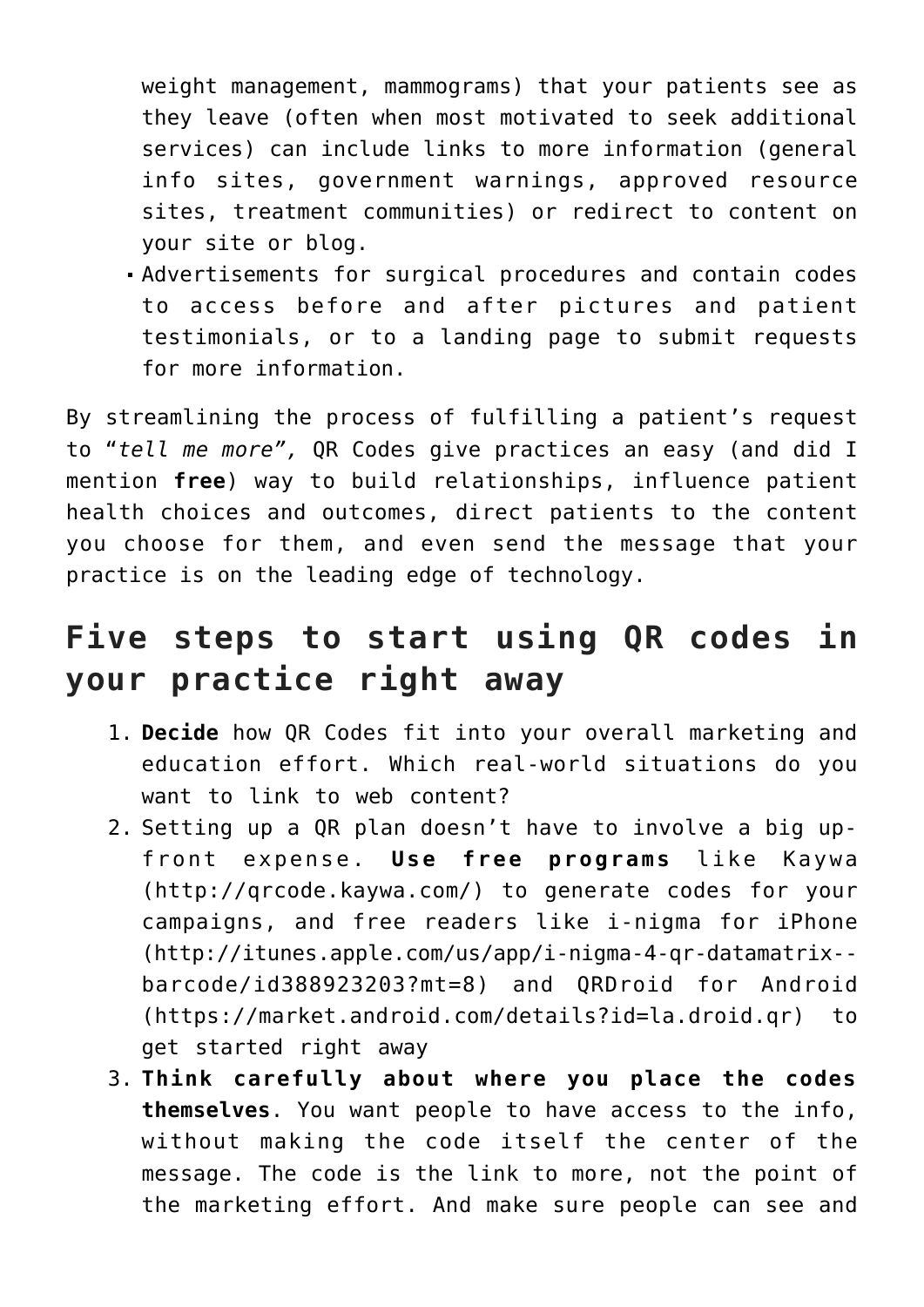weight management, mammograms) that your patients see as they leave (often when most motivated to seek additional services) can include links to more information (general info sites, government warnings, approved resource sites, treatment communities) or redirect to content on your site or blog.

Advertisements for surgical procedures and contain codes to access before and after pictures and patient testimonials, or to a landing page to submit requests for more information.

By streamlining the process of fulfilling a patient's request to "*tell me more",* QR Codes give practices an easy (and did I mention **free**) way to build relationships, influence patient health choices and outcomes, direct patients to the content you choose for them, and even send the message that your practice is on the leading edge of technology.

## **Five steps to start using QR codes in your practice right away**

- 1. **Decide** how QR Codes fit into your overall marketing and education effort. Which real-world situations do you want to link to web content?
- 2. Setting up a QR plan doesn't have to involve a big upfront expense. **Use free programs** like Kaywa (<http://qrcode.kaywa.com/>) to generate codes for your campaigns, and free readers like i-nigma for iPhone [\(http://itunes.apple.com/us/app/i-nigma-4-qr-datamatrix-](http://itunes.apple.com/us/app/i-nigma-4-qr-datamatrix-barcode/id388923203?mt=8) [barcode/id388923203?mt=8](http://itunes.apple.com/us/app/i-nigma-4-qr-datamatrix-barcode/id388923203?mt=8)) and QRDroid for Android ([https://market.android.com/details?id=la.droid.qr\)](https://market.android.com/details?id=la.droid.qr) to get started right away
- 3. **Think carefully about where you place the codes themselves**. You want people to have access to the info, without making the code itself the center of the message. The code is the link to more, not the point of the marketing effort. And make sure people can see and